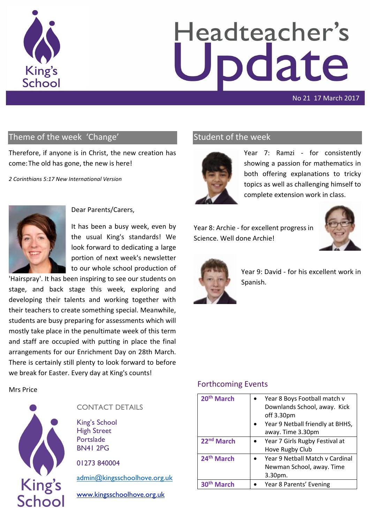

# Headteacher's odate

#### No 21 17 March 2017

## Theme of the week 'Change'

Therefore, if anyone is in Christ, the new creation has come:The old has gone, the new is here!

*2 Corinthians 5:17 New International Version*



Dear Parents/Carers,

It has been a busy week, even by the usual King's standards! We look forward to dedicating a large portion of next week's newsletter to our whole school production of

'Hairspray'. It has been inspiring to see our students on stage, and back stage this week, exploring and developing their talents and working together with their teachers to create something special. Meanwhile, students are busy preparing for assessments which will mostly take place in the penultimate week of this term and staff are occupied with putting in place the final arrangements for our Enrichment Day on 28th March. There is certainly still plenty to look forward to before we break for Easter. Every day at King's counts!

Mrs Price



#### CONTACT DETAILS

King's School High Street Portslade BN41 2PG

01273 840004

[admin@kingsschoolhove.org.uk](mailto:admin@kingsschoolhove.org.uk)

[www.kingsschoolhove.org.uk](http://www.kingsschoolhove.org.uk/)

## Student of the week



Year 7: Ramzi - for consistently showing a passion for mathematics in both offering explanations to tricky topics as well as challenging himself to complete extension work in class.

Year 8: Archie - for excellent progress in Science. Well done Archie!





Year 9: David - for his excellent work in Spanish.

#### Forthcoming Events

| 20 <sup>th</sup> March | Year 8 Boys Football match v     |
|------------------------|----------------------------------|
|                        | Downlands School, away. Kick     |
|                        | off 3.30pm                       |
|                        | Year 9 Netball friendly at BHHS, |
|                        | away. Time 3.30pm                |
| 22 <sup>nd</sup> March | Year 7 Girls Rugby Festival at   |
|                        | Hove Rugby Club                  |
| 24 <sup>th</sup> March | Year 9 Netball Match v Cardinal  |
|                        | Newman School, away. Time        |
|                        | $3.30pm$ .                       |
| arch                   | Year 8 Parents' Evening          |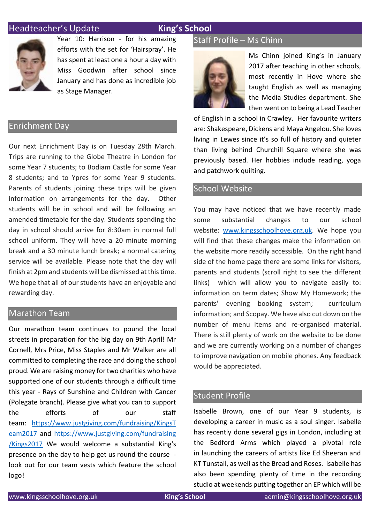## **Headteacher's Update King's School**



Year 10: Harrison - for his amazing efforts with the set for 'Hairspray'. He has spent at least one a hour a day with Miss Goodwin after school since January and has done as incredible job as Stage Manager.

#### Enrichment Day

Our next Enrichment Day is on Tuesday 28th March. Trips are running to the Globe Theatre in London for some Year 7 students; to Bodiam Castle for some Year 8 students; and to Ypres for some Year 9 students. Parents of students joining these trips will be given information on arrangements for the day. Other students will be in school and will be following an amended timetable for the day. Students spending the day in school should arrive for 8:30am in normal full school uniform. They will have a 20 minute morning break and a 30 minute lunch break; a normal catering service will be available. Please note that the day will finish at 2pm and students will be dismissed at this time. We hope that all of our students have an enjoyable and rewarding day.

#### Marathon Team

Our marathon team continues to pound the local streets in preparation for the big day on 9th April! Mr Cornell, Mrs Price, Miss Staples and Mr Walker are all committed to completing the race and doing the school proud. We are raising money for two charities who have supported one of our students through a difficult time this year - Rays of Sunshine and Children with Cancer (Polegate branch). Please give what you can to support the efforts of our staff team: [https://www.justgiving.com/fundraising/KingsT](https://www.justgiving.com/fundraising/KingsTeam2017) [eam2017](https://www.justgiving.com/fundraising/KingsTeam2017) and [https://www.justgiving.com/fundraising](https://www.justgiving.com/fundraising/Kings2017) [/Kings2017](https://www.justgiving.com/fundraising/Kings2017) We would welcome a substantial King's presence on the day to help get us round the course look out for our team vests which feature the school logo!

#### Staff Profile – Ms Chinn



Ms Chinn joined King's in January 2017 after teaching in other schools, most recently in Hove where she taught English as well as managing the Media Studies department. She then went on to being a Lead Teacher

of English in a school in Crawley. Her favourite writers are: Shakespeare, Dickens and Maya Angelou. She loves living in Lewes since it's so full of history and quieter than living behind Churchill Square where she was previously based. Her hobbies include reading, yoga and patchwork quilting.

#### School Website

You may have noticed that we have recently made some substantial changes to our school website: [www.kingsschoolhove.org.uk.](http://www.kingsschoolhove.org.uk/) We hope you will find that these changes make the information on the website more readily accessible. On the right hand side of the home page there are some links for visitors, parents and students (scroll right to see the different links) which will allow you to navigate easily to: information on term dates; Show My Homework; the parents' evening booking system; curriculum information; and Scopay. We have also cut down on the number of menu items and re-organised material. There is still plenty of work on the website to be done and we are currently working on a number of changes to improve navigation on mobile phones. Any feedback would be appreciated.

#### Student Profile

Isabelle Brown, one of our Year 9 students, is developing a career in music as a soul singer. Isabelle has recently done several gigs in London, including at the Bedford Arms which played a pivotal role in launching the careers of artists like Ed Sheeran and KT Tunstall, as well as the Bread and Roses. Isabelle has also been spending plenty of time in the recording studio at weekends putting together an EP which will be